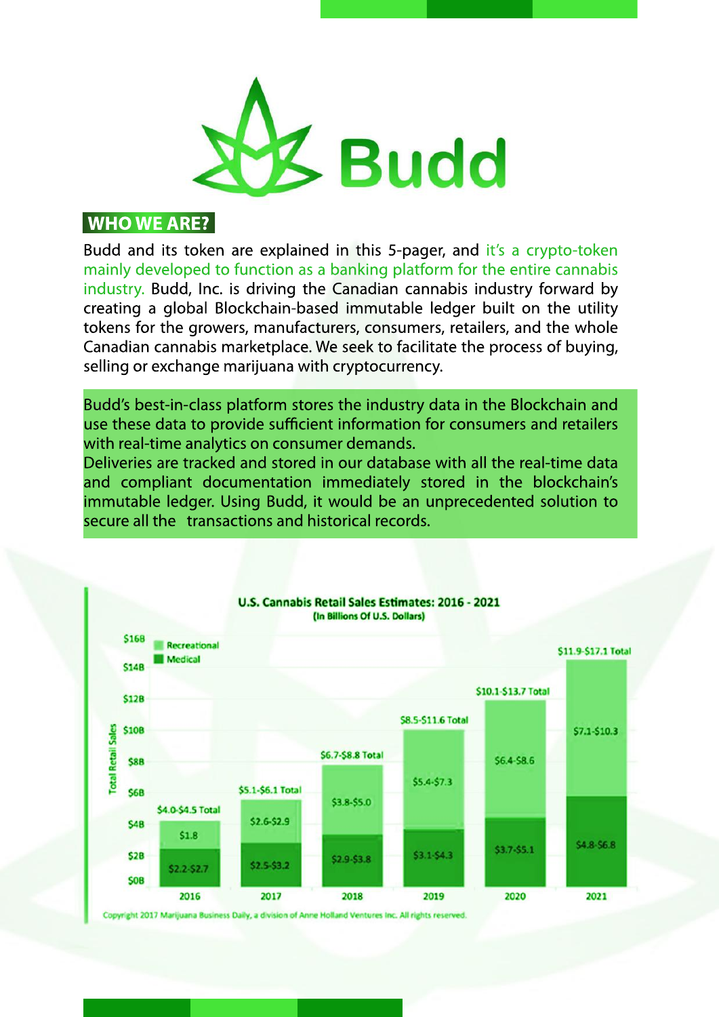

#### **WHO WE ARE?**

Budd and its token are explained in this 5-pager, and it's a crypto-token mainly developed to function as a banking platform for the entire cannabis industry. Budd, Inc. is driving the Canadian cannabis industry forward by creating a global Blockchain-based immutable ledger built on the utility tokens for the growers, manufacturers, consumers, retailers, and the whole Canadian cannabis marketplace. We seek to facilitate the process of buying, selling or exchange marijuana with cryptocurrency.

Budd's best-in-class platform stores the industry data in the Blockchain and use these data to provide sufficient information for consumers and retailers with real-time analytics on consumer demands.

Deliveries are tracked and stored in our database with all the real-time data and compliant documentation immediately stored in the blockchain's immutable ledger. Using Budd, it would be an unprecedented solution to secure all the transactions and historical records.



Copyright 2017 Marijuana Business Daily, a division of An e Holland Ventures Inc. All rights reserved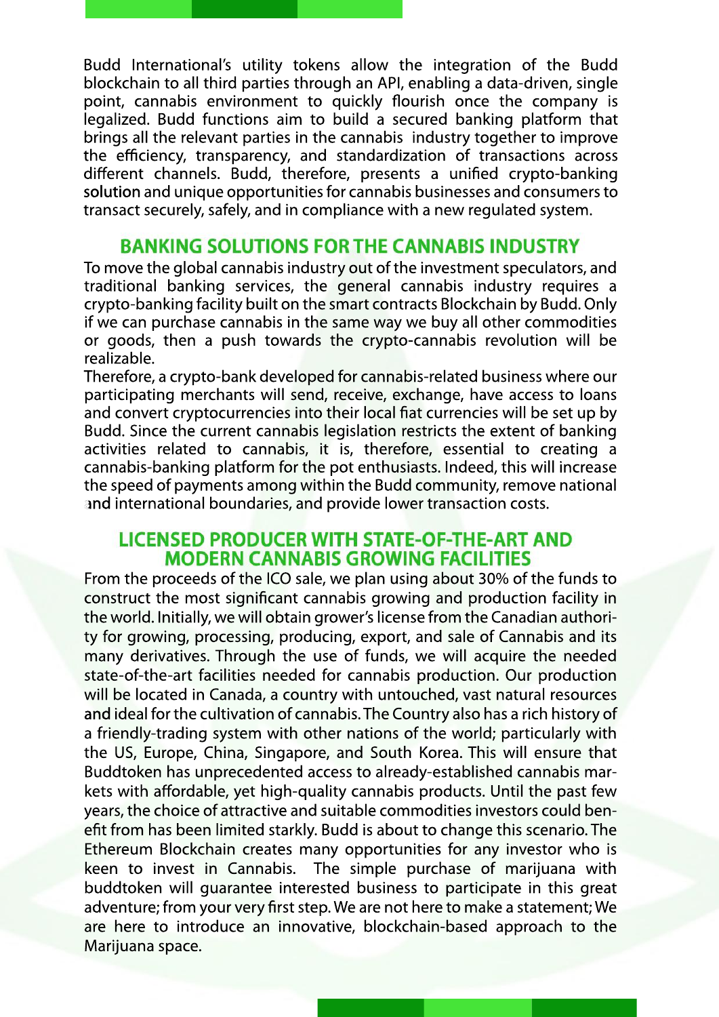Budd International's utility tokens allow the integration of the Budd blockchain to all third parties through an API, enabling a data-driven, single point, cannabis environment to quickly flourish once the company is legalized. Budd functions aim to build a secured banking platform that brings all the relevant parties in the cannabis industry together to improve the efficiency, transparency, and standardization of transactions across different channels. Budd, therefore, presents a unified crypto-banking solution and unique opportunities for cannabis businesses and consumers to transact securely, safely, and in compliance with a new regulated system.

## **BANKING SOLUTIONS FOR THE CANNABIS INDUSTRY**

To move the global cannabis industry out of the investment speculators, and traditional banking services, the general cannabis industry requires a crypto-banking facility built on the smart contracts Blockchain by Budd. Only if we can purchase cannabis in the same way we buy all other commodities or goods, then a push towards the crypto-cannabis revolution will be realizable.

Therefore, a crypto-bank developed for cannabis-related business where our participating merchants will send, receive, exchange, have access to loans and convert cryptocurrencies into their local fiat currencies will be set up by Budd. Since the current cannabis legislation restricts the extent of banking activities related to cannabis, it is, therefore, essential to creating a cannabis-banking platform for the pot enthusiasts. Indeed, this will increase the speed of payments among within the Budd community, remove national and international boundaries, and provide lower transaction costs.

#### **LICENSED PRODUCER WITH STATE-OF-THE-ART AND MODERN CANNABIS GROWING FACILITIES**

From the proceeds of the ICO sale, we plan using about 30% of the funds to construct the most significant cannabis growing and production facility in the world. Initially, we will obtain grower's license from the Canadian authority for growing, processing, producing, export, and sale of Cannabis and its many derivatives. Through the use of funds, we will acquire the needed state-of-the-art facilities needed for cannabis production. Our production will be located in Canada, a country with untouched, vast natural resources and ideal for the cultivation of cannabis. The Country also has a rich history of a friendly-trading system with other nations of the world; particularly with the US, Europe, China, Singapore, and South Korea. This will ensure that Buddtoken has unprecedented access to already-established cannabis markets with affordable, yet high-quality cannabis products. Until the past few years, the choice of attractive and suitable commodities investors could benefit from has been limited starkly. Budd is about to change this scenario. The Ethereum Blockchain creates many opportunities for any investor who is keen to invest in Cannabis. The simple purchase of marijuana with buddtoken will guarantee interested business to participate in this great adventure; from your very first step. We are not here to make a statement; We are here to introduce an innovative, blockchain-based approach to the Marijuana space.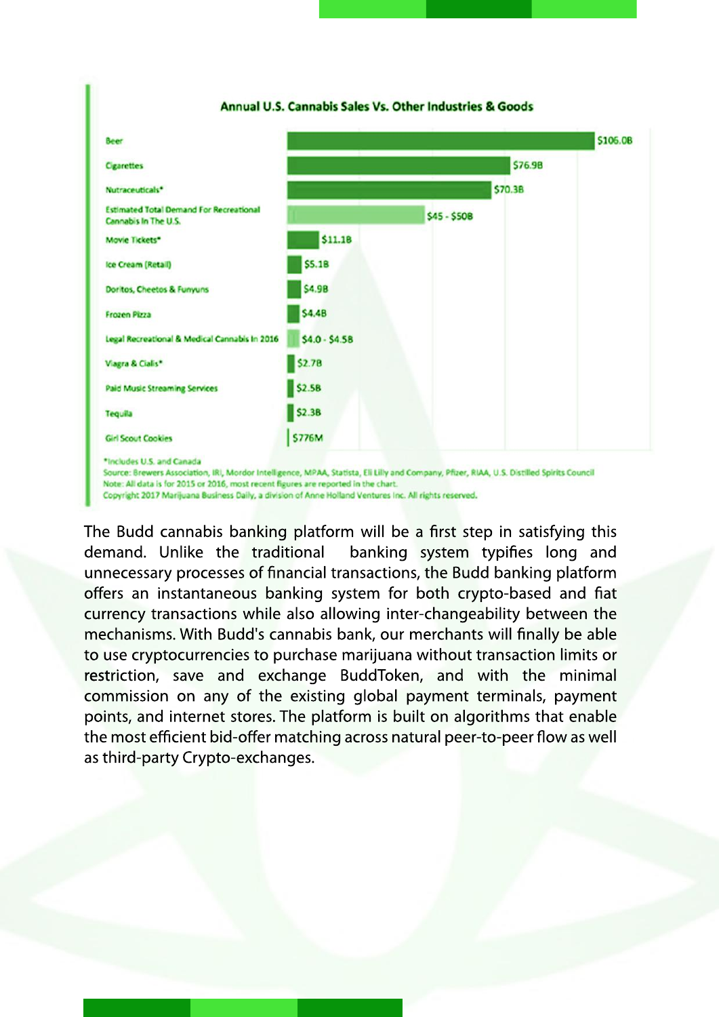

Annual U.S. Cannabis Sales Vs. Other Industries & Goods

Source: Brewers Association, IRI, Mordor Intelligence, MPAA, Statista, Eli Lilly and Company, Pfizer, RIAA, U.S. Distilled Spirits Council Note: All data is for 2015 or 2016, most recent figures are reported in the chart. Copyright 2017 Marijuana Business Daily, a division of Anne Holland Ventures Inc. All rights reserved.

The Budd cannabis banking platform will be a first step in satisfying this demand. Unlike the traditional banking system typifies long and unnecessary processes of financial transactions, the Budd banking platform offers an instantaneous banking system for both crypto-based and fiat currency transactions while also allowing inter-changeability between the mechanisms. With Budd's cannabis bank, our merchants will finally be able to use cryptocurrencies to purchase marijuana without transaction limits or restriction, save and exchange BuddToken, and with the minimal commission on any of the existing global payment terminals, payment points, and internet stores. The platform is built on algorithms that enable the most efficient bid-offer matching across natural peer-to-peer flow as well as third-party Crypto-exchanges.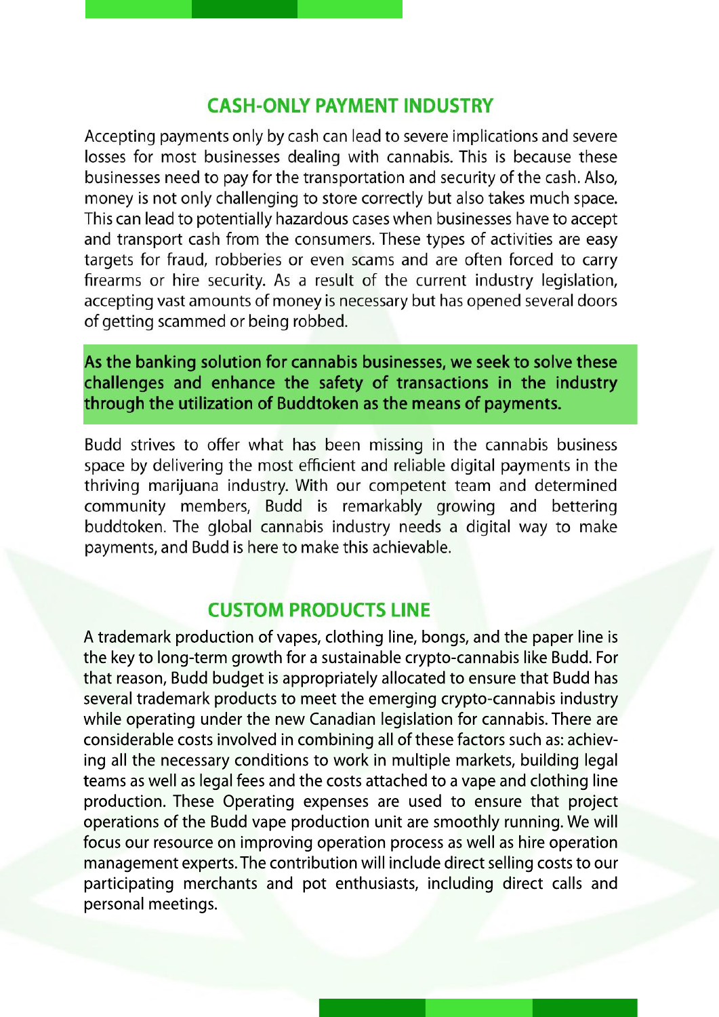# **CASH-ONLY PAYMENT INDUSTRY**

Accepting payments only by cash can lead to severe implications and severe losses for most businesses dealing with cannabis. This is because these businesses need to pay for the transportation and security of the cash. Also, money is not only challenging to store correctly but also takes much space. This can lead to potentially hazardous cases when businesses have to accept and transport cash from the consumers. These types of activities are easy targets for fraud, robberies or even scams and are often forced to carry firearms or hire security. As a result of the current industry legislation, accepting vast amounts of money is necessary but has opened several doors of getting scammed or being robbed.

As the banking solution for cannabis businesses, we seek to solve these challenges and enhance the safety of transactions in the industry through the utilization of Buddtoken as the means of payments.

Budd strives to offer what has been missing in the cannabis business space by delivering the most efficient and reliable digital payments in the thriving marijuana industry. With our competent team and determined community members, Budd is remarkably growing and bettering buddtoken. The global cannabis industry needs a digital way to make payments, and Budd is here to make this achievable.

## **CUSTOM PRODUCTS LINE**

A trademark production of vapes, clothing line, bongs, and the paper line is the key to long-term growth for a sustainable crypto-cannabis like Budd. For that reason, Budd budget is appropriately allocated to ensure that Budd has several trademark products to meet the emerging crypto-cannabis industry while operating under the new Canadian legislation for cannabis. There are considerable costs involved in combining all of these factors such as: achieving all the necessary conditions to work in multiple markets, building legal teams as well as legal fees and the costs attached to a vape and clothing line production. These Operating expenses are used to ensure that project operations of the Budd vape production unit are smoothly running. We will focus our resource on improving operation process as well as hire operation management experts. The contribution will include direct selling costs to our participating merchants and pot enthusiasts, including direct calls and personal meetings.